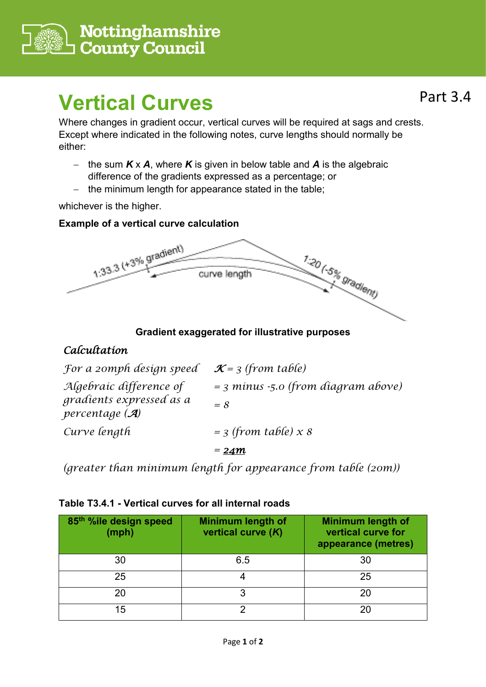

# **Vertical Curves**

Where changes in gradient occur, vertical curves will be required at sags and crests. Except where indicated in the following notes, curve lengths should normally be either:

- − the sum *K* x *A*, where *K* is given in below table and *A* is the algebraic difference of the gradients expressed as a percentage; or
- − the minimum length for appearance stated in the table;

whichever is the higher.

## **Example of a vertical curve calculation**



**Gradient exaggerated for illustrative purposes**

## *Calcultation*

| For a zomph design speed                               | $\mathcal{K}$ = 3 (from table)          |
|--------------------------------------------------------|-----------------------------------------|
| Algebraic difference of                                | $=$ 3 minus $-5.0$ (from diagram above) |
| gradients expressed as a<br>percentage $(\mathcal{A})$ | $= 8$                                   |
| Curve length                                           | $=$ 3 (from table) $x$ 8                |
|                                                        | $=24m$                                  |

*(greater than minimum length for appearance from table (20m))*

### **Table T3.4.1 - Vertical curves for all internal roads**

| 85th %ile design speed<br>(mph) | <b>Minimum length of</b><br>vertical curve (K) | <b>Minimum length of</b><br>vertical curve for<br>appearance (metres) |
|---------------------------------|------------------------------------------------|-----------------------------------------------------------------------|
| 30                              | 6.5                                            | 30                                                                    |
| 25                              |                                                | 25                                                                    |
| 20                              |                                                | 20                                                                    |
| 15                              |                                                | 20                                                                    |